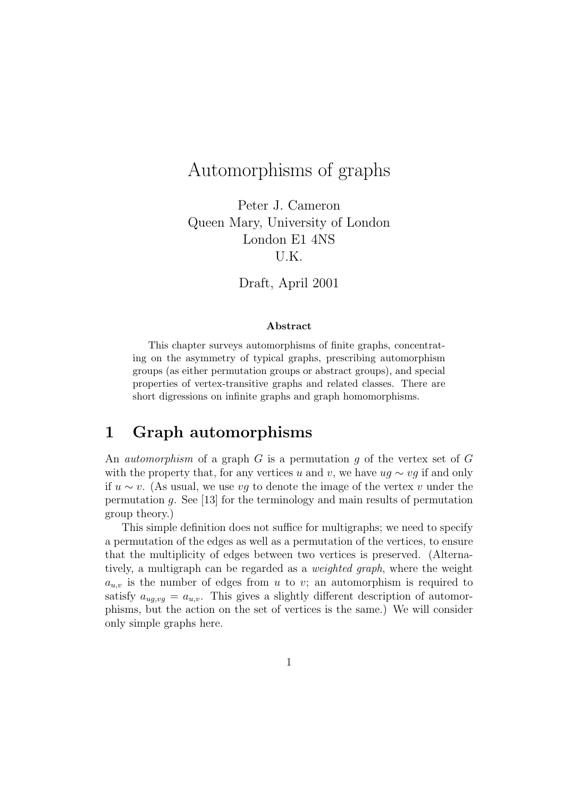# Automorphisms of graphs

Peter J. Cameron Queen Mary, University of London London E1 4NS U.K.

Draft, April 2001

#### Abstract

This chapter surveys automorphisms of finite graphs, concentrating on the asymmetry of typical graphs, prescribing automorphism groups (as either permutation groups or abstract groups), and special properties of vertex-transitive graphs and related classes. There are short digressions on infinite graphs and graph homomorphisms.

### 1 Graph automorphisms

An *automorphism* of a graph G is a permutation q of the vertex set of G with the property that, for any vertices u and v, we have  $uq \sim vq$  if and only if u ∼ v. (As usual, we use vg to denote the image of the vertex v under the permutation g. See [13] for the terminology and main results of permutation group theory.)

This simple definition does not suffice for multigraphs; we need to specify a permutation of the edges as well as a permutation of the vertices, to ensure that the multiplicity of edges between two vertices is preserved. (Alternatively, a multigraph can be regarded as a weighted graph, where the weight  $a_{u,v}$  is the number of edges from u to v; an automorphism is required to satisfy  $a_{uq,vq} = a_{u,v}$ . This gives a slightly different description of automorphisms, but the action on the set of vertices is the same.) We will consider only simple graphs here.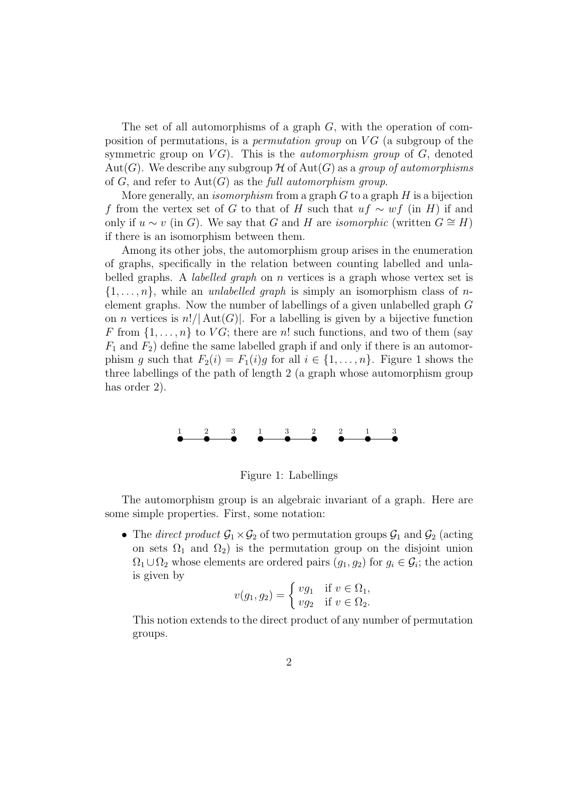The set of all automorphisms of a graph  $G$ , with the operation of composition of permutations, is a *permutation group* on  $VG$  (a subgroup of the symmetric group on  $VG$ ). This is the *automorphism group* of  $G$ , denoted Aut(G). We describe any subgroup H of Aut(G) as a group of automorphisms of  $G$ , and refer to  $Aut(G)$  as the full automorphism group.

More generally, an *isomorphism* from a graph  $G$  to a graph  $H$  is a bijection f from the vertex set of G to that of H such that  $uf \sim wf$  (in H) if and only if  $u \sim v$  (in G). We say that G and H are *isomorphic* (written  $G \cong H$ ) if there is an isomorphism between them.

Among its other jobs, the automorphism group arises in the enumeration of graphs, specifically in the relation between counting labelled and unlabelled graphs. A *labelled graph* on  $n$  vertices is a graph whose vertex set is  $\{1,\ldots,n\}$ , while an *unlabelled graph* is simply an isomorphism class of *n*element graphs. Now the number of labellings of a given unlabelled graph G on *n* vertices is  $n!/|\text{Aut}(G)|$ . For a labelling is given by a bijective function F from  $\{1, \ldots, n\}$  to  $VG$ ; there are n! such functions, and two of them (say  $F_1$  and  $F_2$ ) define the same labelled graph if and only if there is an automorphism g such that  $F_2(i) = F_1(i)g$  for all  $i \in \{1, ..., n\}$ . Figure 1 shows the three labellings of the path of length 2 (a graph whose automorphism group has order 2).



Figure 1: Labellings

The automorphism group is an algebraic invariant of a graph. Here are some simple properties. First, some notation:

• The direct product  $\mathcal{G}_1 \times \mathcal{G}_2$  of two permutation groups  $\mathcal{G}_1$  and  $\mathcal{G}_2$  (acting on sets  $\Omega_1$  and  $\Omega_2$ ) is the permutation group on the disjoint union  $\Omega_1 \cup \Omega_2$  whose elements are ordered pairs  $(g_1, g_2)$  for  $g_i \in \mathcal{G}_i$ ; the action is given by

$$
v(g_1,g_2)=\left\{\begin{matrix} v g_1 & \text{if } v\in \Omega_1,\\ v g_2 & \text{if } v\in \Omega_2.\end{matrix}\right.
$$

This notion extends to the direct product of any number of permutation groups.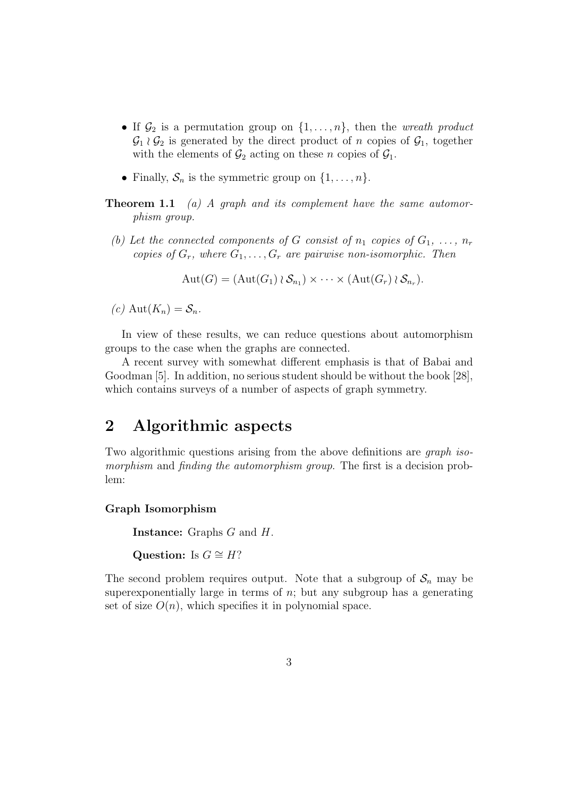- If  $\mathcal{G}_2$  is a permutation group on  $\{1, \ldots, n\}$ , then the *wreath product*  $\mathcal{G}_1 \wr \mathcal{G}_2$  is generated by the direct product of n copies of  $\mathcal{G}_1$ , together with the elements of  $\mathcal{G}_2$  acting on these n copies of  $\mathcal{G}_1$ .
- Finally,  $S_n$  is the symmetric group on  $\{1, \ldots, n\}$ .
- **Theorem 1.1** (a) A graph and its complement have the same automorphism group.
	- (b) Let the connected components of G consist of  $n_1$  copies of  $G_1, \ldots, n_r$ copies of  $G_r$ , where  $G_1, \ldots, G_r$  are pairwise non-isomorphic. Then

 $\text{Aut}(G) = (\text{Aut}(G_1) \wr S_{n_1}) \times \cdots \times (\text{Aut}(G_r) \wr S_{n_r}).$ 

 $(c)$  Aut $(K_n) = S_n$ .

In view of these results, we can reduce questions about automorphism groups to the case when the graphs are connected.

A recent survey with somewhat different emphasis is that of Babai and Goodman [5]. In addition, no serious student should be without the book [28], which contains surveys of a number of aspects of graph symmetry.

## 2 Algorithmic aspects

Two algorithmic questions arising from the above definitions are *graph iso*morphism and finding the automorphism group. The first is a decision problem:

#### Graph Isomorphism

Instance: Graphs G and H.

Question: Is  $G \cong H?$ 

The second problem requires output. Note that a subgroup of  $S_n$  may be superexponentially large in terms of  $n$ ; but any subgroup has a generating set of size  $O(n)$ , which specifies it in polynomial space.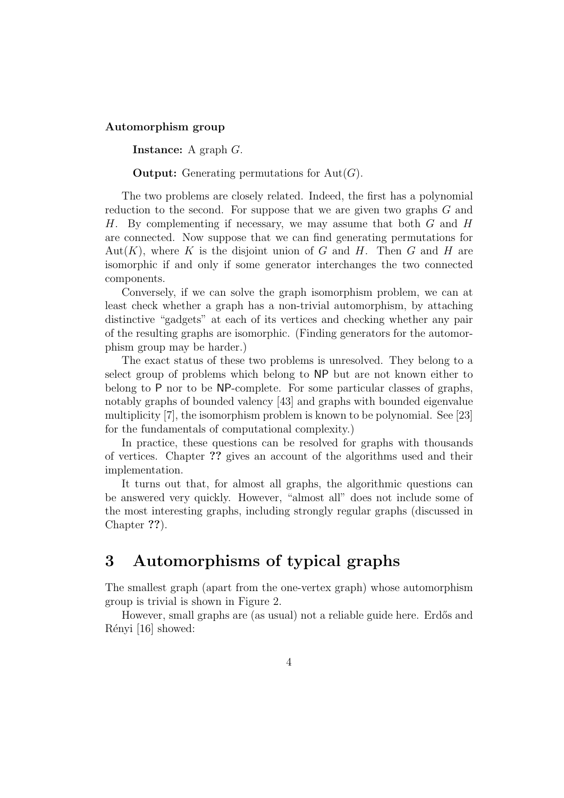#### Automorphism group

Instance: A graph G.

**Output:** Generating permutations for  $Aut(G)$ .

The two problems are closely related. Indeed, the first has a polynomial reduction to the second. For suppose that we are given two graphs G and H. By complementing if necessary, we may assume that both G and H are connected. Now suppose that we can find generating permutations for  $Aut(K)$ , where K is the disjoint union of G and H. Then G and H are isomorphic if and only if some generator interchanges the two connected components.

Conversely, if we can solve the graph isomorphism problem, we can at least check whether a graph has a non-trivial automorphism, by attaching distinctive "gadgets" at each of its vertices and checking whether any pair of the resulting graphs are isomorphic. (Finding generators for the automorphism group may be harder.)

The exact status of these two problems is unresolved. They belong to a select group of problems which belong to NP but are not known either to belong to P nor to be NP-complete. For some particular classes of graphs, notably graphs of bounded valency [43] and graphs with bounded eigenvalue multiplicity [7], the isomorphism problem is known to be polynomial. See [23] for the fundamentals of computational complexity.)

In practice, these questions can be resolved for graphs with thousands of vertices. Chapter ?? gives an account of the algorithms used and their implementation.

It turns out that, for almost all graphs, the algorithmic questions can be answered very quickly. However, "almost all" does not include some of the most interesting graphs, including strongly regular graphs (discussed in Chapter ??).

# 3 Automorphisms of typical graphs

The smallest graph (apart from the one-vertex graph) whose automorphism group is trivial is shown in Figure 2.

However, small graphs are (as usual) not a reliable guide here. Erdős and Rényi [16] showed: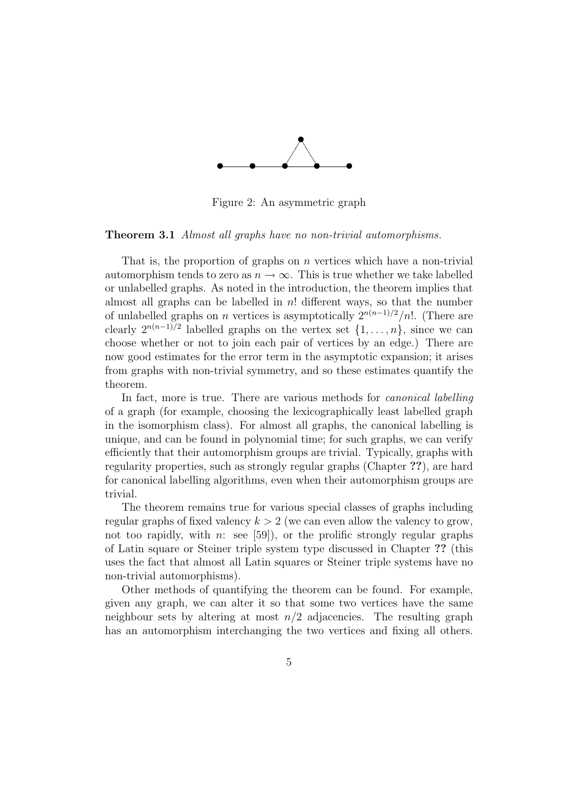

Figure 2: An asymmetric graph

#### Theorem 3.1 Almost all graphs have no non-trivial automorphisms.

That is, the proportion of graphs on  $n$  vertices which have a non-trivial automorphism tends to zero as  $n \to \infty$ . This is true whether we take labelled or unlabelled graphs. As noted in the introduction, the theorem implies that almost all graphs can be labelled in  $n!$  different ways, so that the number of unlabelled graphs on *n* vertices is asymptotically  $2^{n(n-1)/2}/n!$ . (There are clearly  $2^{n(n-1)/2}$  labelled graphs on the vertex set  $\{1,\ldots,n\}$ , since we can choose whether or not to join each pair of vertices by an edge.) There are now good estimates for the error term in the asymptotic expansion; it arises from graphs with non-trivial symmetry, and so these estimates quantify the theorem.

In fact, more is true. There are various methods for *canonical labelling* of a graph (for example, choosing the lexicographically least labelled graph in the isomorphism class). For almost all graphs, the canonical labelling is unique, and can be found in polynomial time; for such graphs, we can verify efficiently that their automorphism groups are trivial. Typically, graphs with regularity properties, such as strongly regular graphs (Chapter ??), are hard for canonical labelling algorithms, even when their automorphism groups are trivial.

The theorem remains true for various special classes of graphs including regular graphs of fixed valency  $k > 2$  (we can even allow the valency to grow, not too rapidly, with n: see [59]), or the prolific strongly regular graphs of Latin square or Steiner triple system type discussed in Chapter ?? (this uses the fact that almost all Latin squares or Steiner triple systems have no non-trivial automorphisms).

Other methods of quantifying the theorem can be found. For example, given any graph, we can alter it so that some two vertices have the same neighbour sets by altering at most  $n/2$  adjacencies. The resulting graph has an automorphism interchanging the two vertices and fixing all others.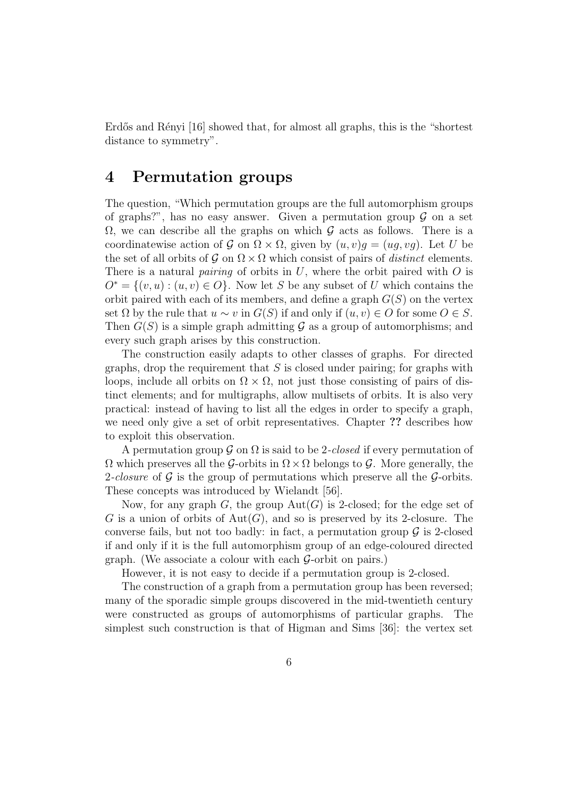Erdős and Rényi [16] showed that, for almost all graphs, this is the "shortest" distance to symmetry".

### 4 Permutation groups

The question, "Which permutation groups are the full automorphism groups of graphs?", has no easy answer. Given a permutation group  $\mathcal G$  on a set  $\Omega$ , we can describe all the graphs on which G acts as follows. There is a coordinatewise action of  $\mathcal G$  on  $\Omega \times \Omega$ , given by  $(u, v)q = (uq, vq)$ . Let U be the set of all orbits of G on  $\Omega \times \Omega$  which consist of pairs of distinct elements. There is a natural *pairing* of orbits in  $U$ , where the orbit paired with  $O$  is  $O^* = \{(v, u) : (u, v) \in O\}$ . Now let S be any subset of U which contains the orbit paired with each of its members, and define a graph  $G(S)$  on the vertex set  $\Omega$  by the rule that  $u \sim v$  in  $G(S)$  if and only if  $(u, v) \in O$  for some  $O \in S$ . Then  $G(S)$  is a simple graph admitting G as a group of automorphisms; and every such graph arises by this construction.

The construction easily adapts to other classes of graphs. For directed graphs, drop the requirement that  $S$  is closed under pairing; for graphs with loops, include all orbits on  $\Omega \times \Omega$ , not just those consisting of pairs of distinct elements; and for multigraphs, allow multisets of orbits. It is also very practical: instead of having to list all the edges in order to specify a graph, we need only give a set of orbit representatives. Chapter ?? describes how to exploit this observation.

A permutation group  $\mathcal G$  on  $\Omega$  is said to be 2-closed if every permutation of  $\Omega$  which preserves all the G-orbits in  $\Omega \times \Omega$  belongs to G. More generally, the 2-closure of  $\mathcal G$  is the group of permutations which preserve all the  $\mathcal G$ -orbits. These concepts was introduced by Wielandt [56].

Now, for any graph G, the group  $Aut(G)$  is 2-closed; for the edge set of G is a union of orbits of  $Aut(G)$ , and so is preserved by its 2-closure. The converse fails, but not too badly: in fact, a permutation group  $\mathcal G$  is 2-closed if and only if it is the full automorphism group of an edge-coloured directed graph. (We associate a colour with each  $\mathcal{G}$ -orbit on pairs.)

However, it is not easy to decide if a permutation group is 2-closed.

The construction of a graph from a permutation group has been reversed; many of the sporadic simple groups discovered in the mid-twentieth century were constructed as groups of automorphisms of particular graphs. The simplest such construction is that of Higman and Sims [36]: the vertex set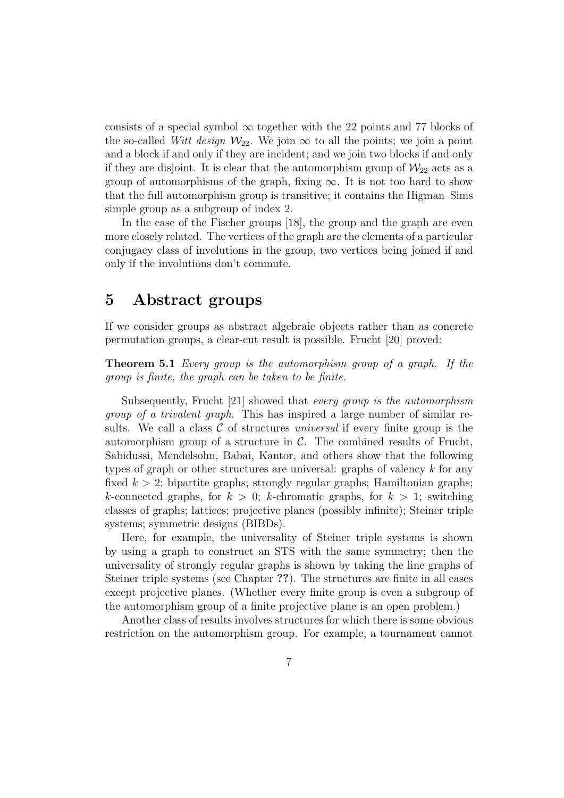consists of a special symbol  $\infty$  together with the 22 points and 77 blocks of the so-called Witt design  $\mathcal{W}_{22}$ . We join  $\infty$  to all the points; we join a point and a block if and only if they are incident; and we join two blocks if and only if they are disjoint. It is clear that the automorphism group of  $\mathcal{W}_{22}$  acts as a group of automorphisms of the graph, fixing  $\infty$ . It is not too hard to show that the full automorphism group is transitive; it contains the Higman–Sims simple group as a subgroup of index 2.

In the case of the Fischer groups [18], the group and the graph are even more closely related. The vertices of the graph are the elements of a particular conjugacy class of involutions in the group, two vertices being joined if and only if the involutions don't commute.

### 5 Abstract groups

If we consider groups as abstract algebraic objects rather than as concrete permutation groups, a clear-cut result is possible. Frucht [20] proved:

Theorem 5.1 Every group is the automorphism group of a graph. If the group is finite, the graph can be taken to be finite.

Subsequently, Frucht [21] showed that every group is the automorphism group of a trivalent graph. This has inspired a large number of similar results. We call a class  $\mathcal C$  of structures universal if every finite group is the automorphism group of a structure in  $\mathcal{C}$ . The combined results of Frucht, Sabidussi, Mendelsohn, Babai, Kantor, and others show that the following types of graph or other structures are universal: graphs of valency  $k$  for any fixed  $k > 2$ ; bipartite graphs; strongly regular graphs; Hamiltonian graphs; k-connected graphs, for  $k > 0$ ; k-chromatic graphs, for  $k > 1$ ; switching classes of graphs; lattices; projective planes (possibly infinite); Steiner triple systems; symmetric designs (BIBDs).

Here, for example, the universality of Steiner triple systems is shown by using a graph to construct an STS with the same symmetry; then the universality of strongly regular graphs is shown by taking the line graphs of Steiner triple systems (see Chapter ??). The structures are finite in all cases except projective planes. (Whether every finite group is even a subgroup of the automorphism group of a finite projective plane is an open problem.)

Another class of results involves structures for which there is some obvious restriction on the automorphism group. For example, a tournament cannot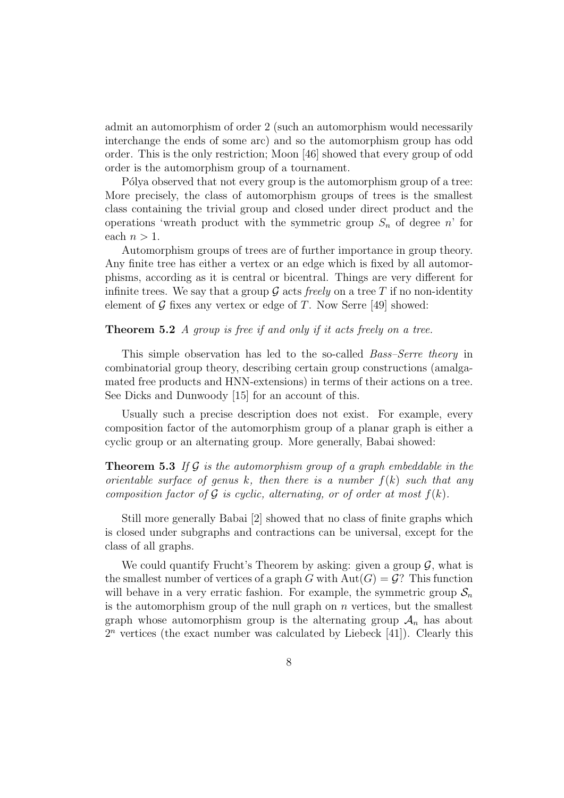admit an automorphism of order 2 (such an automorphism would necessarily interchange the ends of some arc) and so the automorphism group has odd order. This is the only restriction; Moon [46] showed that every group of odd order is the automorphism group of a tournament.

Pólya observed that not every group is the automorphism group of a tree: More precisely, the class of automorphism groups of trees is the smallest class containing the trivial group and closed under direct product and the operations 'wreath product with the symmetric group  $S_n$  of degree n' for each  $n > 1$ .

Automorphism groups of trees are of further importance in group theory. Any finite tree has either a vertex or an edge which is fixed by all automorphisms, according as it is central or bicentral. Things are very different for infinite trees. We say that a group  $\mathcal G$  acts freely on a tree T if no non-identity element of  $\mathcal G$  fixes any vertex or edge of T. Now Serre [49] showed:

#### **Theorem 5.2** A group is free if and only if it acts freely on a tree.

This simple observation has led to the so-called Bass–Serre theory in combinatorial group theory, describing certain group constructions (amalgamated free products and HNN-extensions) in terms of their actions on a tree. See Dicks and Dunwoody [15] for an account of this.

Usually such a precise description does not exist. For example, every composition factor of the automorphism group of a planar graph is either a cyclic group or an alternating group. More generally, Babai showed:

**Theorem 5.3** If  $\mathcal G$  is the automorphism group of a graph embeddable in the orientable surface of genus k, then there is a number  $f(k)$  such that any composition factor of  $\mathcal G$  is cyclic, alternating, or of order at most  $f(k)$ .

Still more generally Babai [2] showed that no class of finite graphs which is closed under subgraphs and contractions can be universal, except for the class of all graphs.

We could quantify Frucht's Theorem by asking: given a group  $\mathcal{G}$ , what is the smallest number of vertices of a graph G with  $Aut(G) = G$ ? This function will behave in a very erratic fashion. For example, the symmetric group  $S_n$ is the automorphism group of the null graph on  $n$  vertices, but the smallest graph whose automorphism group is the alternating group  $A_n$  has about  $2<sup>n</sup>$  vertices (the exact number was calculated by Liebeck [41]). Clearly this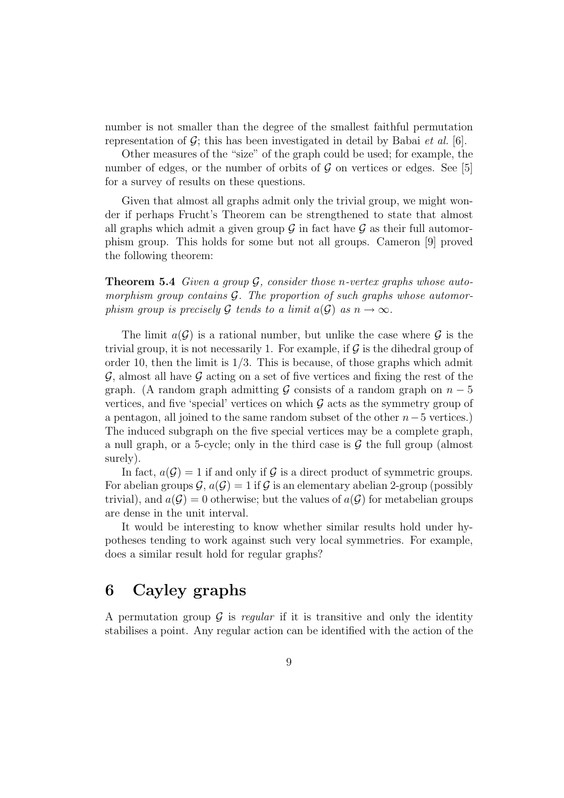number is not smaller than the degree of the smallest faithful permutation representation of  $G$ ; this has been investigated in detail by Babai *et al.* [6].

Other measures of the "size" of the graph could be used; for example, the number of edges, or the number of orbits of  $\mathcal G$  on vertices or edges. See [5] for a survey of results on these questions.

Given that almost all graphs admit only the trivial group, we might wonder if perhaps Frucht's Theorem can be strengthened to state that almost all graphs which admit a given group  $\mathcal G$  in fact have  $\mathcal G$  as their full automorphism group. This holds for some but not all groups. Cameron [9] proved the following theorem:

**Theorem 5.4** Given a group  $\mathcal{G}$ , consider those n-vertex graphs whose automorphism group contains  $G$ . The proportion of such graphs whose automorphism group is precisely G tends to a limit  $a(G)$  as  $n \to \infty$ .

The limit  $a(G)$  is a rational number, but unlike the case where G is the trivial group, it is not necessarily 1. For example, if  $\mathcal G$  is the dihedral group of order 10, then the limit is  $1/3$ . This is because, of those graphs which admit  $\mathcal{G}$ , almost all have  $\mathcal{G}$  acting on a set of five vertices and fixing the rest of the graph. (A random graph admitting G consists of a random graph on  $n-5$ vertices, and five 'special' vertices on which  $\mathcal G$  acts as the symmetry group of a pentagon, all joined to the same random subset of the other  $n-5$  vertices.) The induced subgraph on the five special vertices may be a complete graph, a null graph, or a 5-cycle; only in the third case is  $\mathcal G$  the full group (almost surely).

In fact,  $a(G) = 1$  if and only if G is a direct product of symmetric groups. For abelian groups  $\mathcal{G}$ ,  $a(\mathcal{G}) = 1$  if  $\mathcal{G}$  is an elementary abelian 2-group (possibly trivial), and  $a(G) = 0$  otherwise; but the values of  $a(G)$  for metabelian groups are dense in the unit interval.

It would be interesting to know whether similar results hold under hypotheses tending to work against such very local symmetries. For example, does a similar result hold for regular graphs?

# 6 Cayley graphs

A permutation group  $\mathcal G$  is regular if it is transitive and only the identity stabilises a point. Any regular action can be identified with the action of the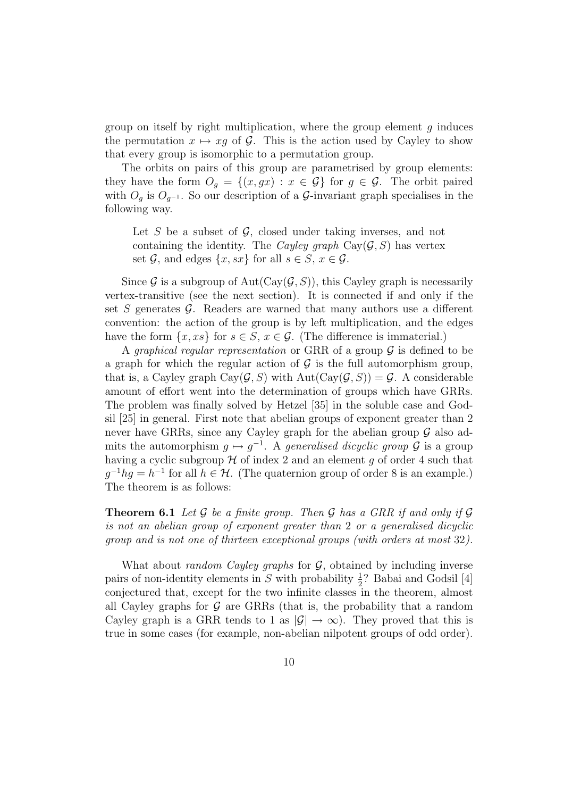group on itself by right multiplication, where the group element  $g$  induces the permutation  $x \mapsto xq$  of G. This is the action used by Cayley to show that every group is isomorphic to a permutation group.

The orbits on pairs of this group are parametrised by group elements: they have the form  $O_g = \{(x, gx) : x \in \mathcal{G}\}\)$  for  $g \in \mathcal{G}$ . The orbit paired with  $O_g$  is  $O_{g^{-1}}$ . So our description of a G-invariant graph specialises in the following way.

Let S be a subset of  $\mathcal{G}$ , closed under taking inverses, and not containing the identity. The *Cayley graph*  $Cay(\mathcal{G}, S)$  has vertex set  $\mathcal{G}$ , and edges  $\{x, sx\}$  for all  $s \in S$ ,  $x \in \mathcal{G}$ .

Since G is a subgroup of  $Aut(Cay(\mathcal{G}, S))$ , this Cayley graph is necessarily vertex-transitive (see the next section). It is connected if and only if the set  $S$  generates  $\mathcal G$ . Readers are warned that many authors use a different convention: the action of the group is by left multiplication, and the edges have the form  $\{x, xs\}$  for  $s \in S$ ,  $x \in \mathcal{G}$ . (The difference is immaterial.)

A *graphical reqular representation* or GRR of a group  $\mathcal G$  is defined to be a graph for which the regular action of  $\mathcal G$  is the full automorphism group, that is, a Cayley graph  $Cay(\mathcal{G}, S)$  with  $Aut(Cay(\mathcal{G}, S)) = \mathcal{G}$ . A considerable amount of effort went into the determination of groups which have GRRs. The problem was finally solved by Hetzel [35] in the soluble case and Godsil [25] in general. First note that abelian groups of exponent greater than 2 never have GRRs, since any Cayley graph for the abelian group  $\mathcal G$  also admits the automorphism  $g \mapsto g^{-1}$ . A generalised dicyclic group  $\mathcal G$  is a group having a cyclic subgroup  $H$  of index 2 and an element g of order 4 such that  $g^{-1}hg = h^{-1}$  for all  $h \in \mathcal{H}$ . (The quaternion group of order 8 is an example.) The theorem is as follows:

**Theorem 6.1** Let G be a finite group. Then G has a GRR if and only if  $\mathcal{G}$ is not an abelian group of exponent greater than 2 or a generalised dicyclic group and is not one of thirteen exceptional groups (with orders at most 32).

What about *random Cayley graphs* for  $G$ , obtained by including inverse pairs of non-identity elements in S with probability  $\frac{1}{2}$ ? Babai and Godsil [4] conjectured that, except for the two infinite classes in the theorem, almost all Cayley graphs for  $\mathcal G$  are GRRs (that is, the probability that a random Cayley graph is a GRR tends to 1 as  $|\mathcal{G}| \to \infty$ ). They proved that this is true in some cases (for example, non-abelian nilpotent groups of odd order).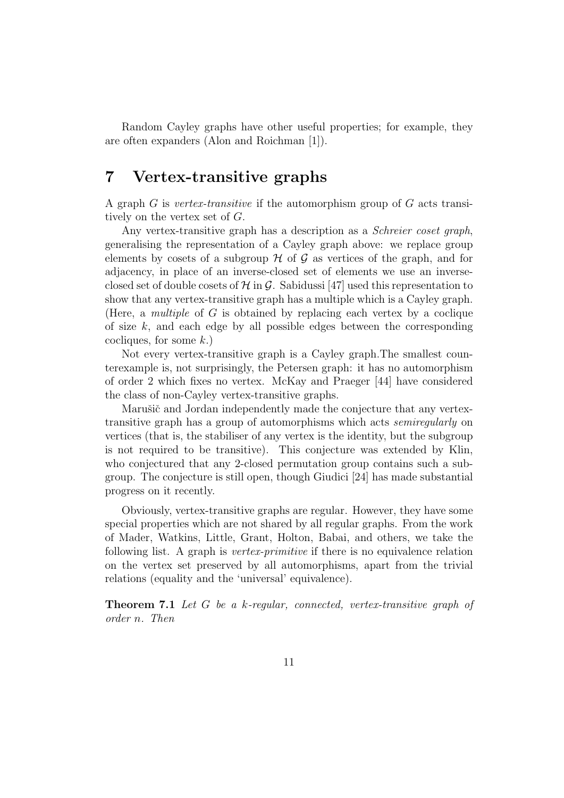Random Cayley graphs have other useful properties; for example, they are often expanders (Alon and Roichman [1]).

### 7 Vertex-transitive graphs

A graph  $G$  is vertex-transitive if the automorphism group of  $G$  acts transitively on the vertex set of G.

Any vertex-transitive graph has a description as a *Schreier coset graph*, generalising the representation of a Cayley graph above: we replace group elements by cosets of a subgroup  $H$  of  $G$  as vertices of the graph, and for adjacency, in place of an inverse-closed set of elements we use an inverseclosed set of double cosets of  $H$  in  $G$ . Sabidussi [47] used this representation to show that any vertex-transitive graph has a multiple which is a Cayley graph. (Here, a *multiple* of  $G$  is obtained by replacing each vertex by a coclique of size  $k$ , and each edge by all possible edges between the corresponding cocliques, for some  $k$ .)

Not every vertex-transitive graph is a Cayley graph.The smallest counterexample is, not surprisingly, the Petersen graph: it has no automorphism of order 2 which fixes no vertex. McKay and Praeger [44] have considered the class of non-Cayley vertex-transitive graphs.

Marušič and Jordan independently made the conjecture that any vertextransitive graph has a group of automorphisms which acts semiregularly on vertices (that is, the stabiliser of any vertex is the identity, but the subgroup is not required to be transitive). This conjecture was extended by Klin, who conjectured that any 2-closed permutation group contains such a subgroup. The conjecture is still open, though Giudici [24] has made substantial progress on it recently.

Obviously, vertex-transitive graphs are regular. However, they have some special properties which are not shared by all regular graphs. From the work of Mader, Watkins, Little, Grant, Holton, Babai, and others, we take the following list. A graph is vertex-primitive if there is no equivalence relation on the vertex set preserved by all automorphisms, apart from the trivial relations (equality and the 'universal' equivalence).

Theorem 7.1 Let G be a k-regular, connected, vertex-transitive graph of order n. Then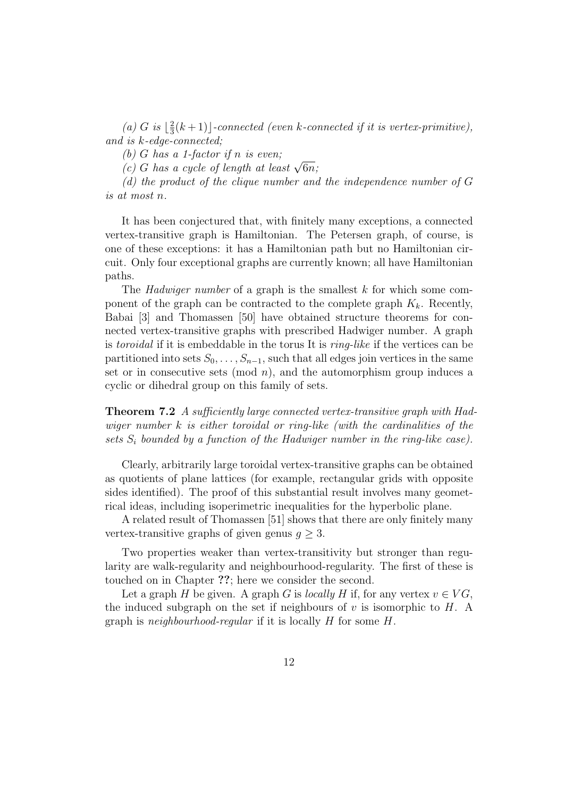(a) G is  $\frac{2}{3}$  $\frac{2}{3}(k+1)$ ]-connected (even k-connected if it is vertex-primitive), and is k-edge-connected;

(b) G has a 1-factor if n is even;

(b) G has a 1-factor if n is even;<br>(c) G has a cycle of length at least  $\sqrt{6n}$ ;

 $(d)$  the product of the clique number and the independence number of  $G$ is at most n.

It has been conjectured that, with finitely many exceptions, a connected vertex-transitive graph is Hamiltonian. The Petersen graph, of course, is one of these exceptions: it has a Hamiltonian path but no Hamiltonian circuit. Only four exceptional graphs are currently known; all have Hamiltonian paths.

The *Hadwiger number* of a graph is the smallest  $k$  for which some component of the graph can be contracted to the complete graph  $K_k$ . Recently, Babai [3] and Thomassen [50] have obtained structure theorems for connected vertex-transitive graphs with prescribed Hadwiger number. A graph is toroidal if it is embeddable in the torus It is ring-like if the vertices can be partitioned into sets  $S_0, \ldots, S_{n-1}$ , such that all edges join vertices in the same set or in consecutive sets (mod  $n$ ), and the automorphism group induces a cyclic or dihedral group on this family of sets.

Theorem 7.2 A sufficiently large connected vertex-transitive graph with Hadwiger number k is either toroidal or ring-like (with the cardinalities of the sets  $S_i$  bounded by a function of the Hadwiger number in the ring-like case).

Clearly, arbitrarily large toroidal vertex-transitive graphs can be obtained as quotients of plane lattices (for example, rectangular grids with opposite sides identified). The proof of this substantial result involves many geometrical ideas, including isoperimetric inequalities for the hyperbolic plane.

A related result of Thomassen [51] shows that there are only finitely many vertex-transitive graphs of given genus  $q \geq 3$ .

Two properties weaker than vertex-transitivity but stronger than regularity are walk-regularity and neighbourhood-regularity. The first of these is touched on in Chapter ??; here we consider the second.

Let a graph H be given. A graph G is locally H if, for any vertex  $v \in VG$ , the induced subgraph on the set if neighbours of  $v$  is isomorphic to  $H$ . A graph is *neighbourhood-regular* if it is locally  $H$  for some  $H$ .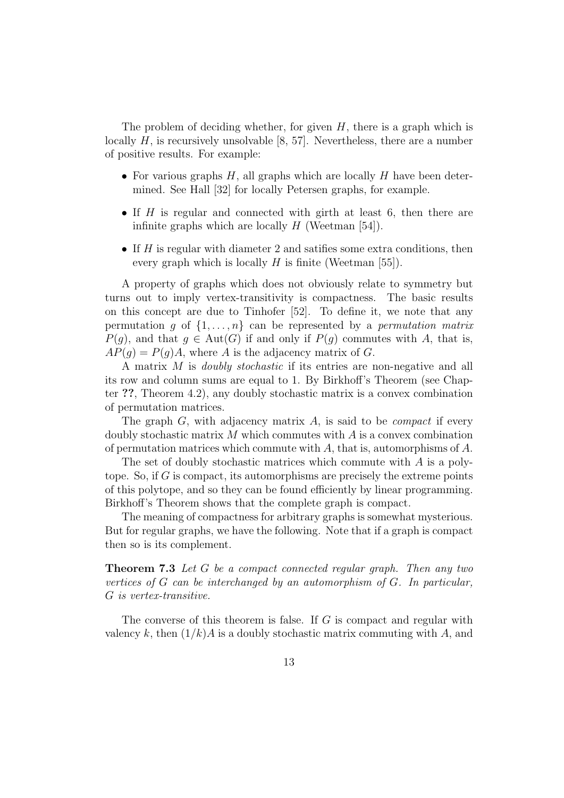The problem of deciding whether, for given  $H$ , there is a graph which is locally  $H$ , is recursively unsolvable [8, 57]. Nevertheless, there are a number of positive results. For example:

- For various graphs  $H$ , all graphs which are locally  $H$  have been determined. See Hall [32] for locally Petersen graphs, for example.
- If  $H$  is regular and connected with girth at least 6, then there are infinite graphs which are locally  $H$  (Weetman [54]).
- If  $H$  is regular with diameter 2 and satifies some extra conditions, then every graph which is locally  $H$  is finite (Weetman [55]).

A property of graphs which does not obviously relate to symmetry but turns out to imply vertex-transitivity is compactness. The basic results on this concept are due to Tinhofer [52]. To define it, we note that any permutation g of  $\{1, \ldots, n\}$  can be represented by a permutation matrix  $P(q)$ , and that  $q \in Aut(G)$  if and only if  $P(q)$  commutes with A, that is,  $AP(q) = P(q)A$ , where A is the adjacency matrix of G.

A matrix M is doubly stochastic if its entries are non-negative and all its row and column sums are equal to 1. By Birkhoff's Theorem (see Chapter ??, Theorem 4.2), any doubly stochastic matrix is a convex combination of permutation matrices.

The graph  $G$ , with adjacency matrix  $A$ , is said to be *compact* if every doubly stochastic matrix  $M$  which commutes with  $A$  is a convex combination of permutation matrices which commute with  $A$ , that is, automorphisms of  $A$ .

The set of doubly stochastic matrices which commute with  $A$  is a polytope. So, if  $G$  is compact, its automorphisms are precisely the extreme points of this polytope, and so they can be found efficiently by linear programming. Birkhoff's Theorem shows that the complete graph is compact.

The meaning of compactness for arbitrary graphs is somewhat mysterious. But for regular graphs, we have the following. Note that if a graph is compact then so is its complement.

**Theorem 7.3** Let G be a compact connected regular graph. Then any two vertices of G can be interchanged by an automorphism of G. In particular, G is vertex-transitive.

The converse of this theorem is false. If G is compact and regular with valency k, then  $(1/k)A$  is a doubly stochastic matrix commuting with A, and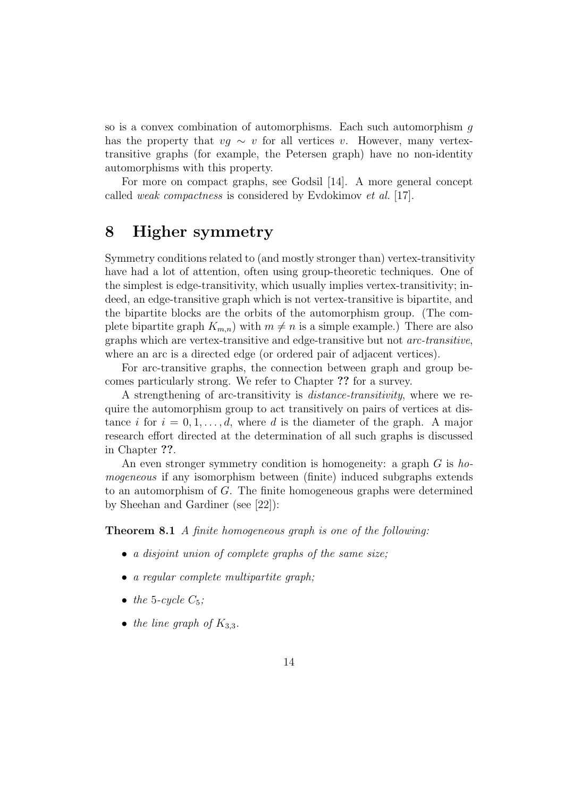so is a convex combination of automorphisms. Each such automorphism g has the property that  $vq \sim v$  for all vertices v. However, many vertextransitive graphs (for example, the Petersen graph) have no non-identity automorphisms with this property.

For more on compact graphs, see Godsil [14]. A more general concept called weak compactness is considered by Evdokimov et al. [17].

#### 8 Higher symmetry

Symmetry conditions related to (and mostly stronger than) vertex-transitivity have had a lot of attention, often using group-theoretic techniques. One of the simplest is edge-transitivity, which usually implies vertex-transitivity; indeed, an edge-transitive graph which is not vertex-transitive is bipartite, and the bipartite blocks are the orbits of the automorphism group. (The complete bipartite graph  $K_{m,n}$ ) with  $m \neq n$  is a simple example.) There are also graphs which are vertex-transitive and edge-transitive but not arc-transitive, where an arc is a directed edge (or ordered pair of adjacent vertices).

For arc-transitive graphs, the connection between graph and group becomes particularly strong. We refer to Chapter ?? for a survey.

A strengthening of arc-transitivity is distance-transitivity, where we require the automorphism group to act transitively on pairs of vertices at distance i for  $i = 0, 1, \ldots, d$ , where d is the diameter of the graph. A major research effort directed at the determination of all such graphs is discussed in Chapter ??.

An even stronger symmetry condition is homogeneity: a graph  $G$  is homogeneous if any isomorphism between (finite) induced subgraphs extends to an automorphism of G. The finite homogeneous graphs were determined by Sheehan and Gardiner (see [22]):

Theorem 8.1 A finite homogeneous graph is one of the following:

- a disjoint union of complete graphs of the same size;
- a regular complete multipartite graph;
- the 5-cycle  $C_5$ :
- the line graph of  $K_{3,3}$ .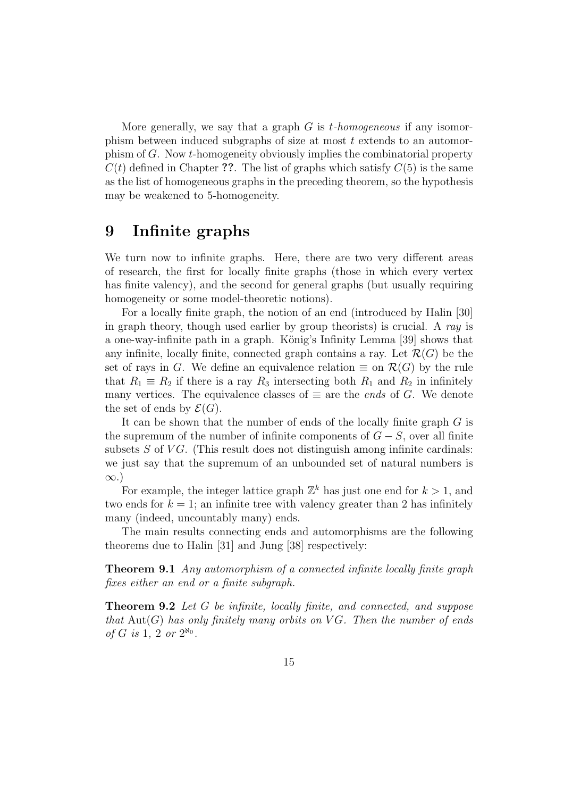More generally, we say that a graph  $G$  is *t*-homogeneous if any isomorphism between induced subgraphs of size at most t extends to an automorphism of G. Now t-homogeneity obviously implies the combinatorial property  $C(t)$  defined in Chapter ??. The list of graphs which satisfy  $C(5)$  is the same as the list of homogeneous graphs in the preceding theorem, so the hypothesis may be weakened to 5-homogeneity.

#### 9 Infinite graphs

We turn now to infinite graphs. Here, there are two very different areas of research, the first for locally finite graphs (those in which every vertex has finite valency), and the second for general graphs (but usually requiring homogeneity or some model-theoretic notions).

For a locally finite graph, the notion of an end (introduced by Halin [30] in graph theory, though used earlier by group theorists) is crucial. A ray is a one-way-infinite path in a graph. König's Infinity Lemma [39] shows that any infinite, locally finite, connected graph contains a ray. Let  $\mathcal{R}(G)$  be the set of rays in G. We define an equivalence relation  $\equiv$  on  $\mathcal{R}(G)$  by the rule that  $R_1 \equiv R_2$  if there is a ray  $R_3$  intersecting both  $R_1$  and  $R_2$  in infinitely many vertices. The equivalence classes of  $\equiv$  are the *ends* of G. We denote the set of ends by  $\mathcal{E}(G)$ .

It can be shown that the number of ends of the locally finite graph  $G$  is the supremum of the number of infinite components of  $G - S$ , over all finite subsets  $S$  of  $VG$ . (This result does not distinguish among infinite cardinals: we just say that the supremum of an unbounded set of natural numbers is ∞.)

For example, the integer lattice graph  $\mathbb{Z}^k$  has just one end for  $k > 1$ , and two ends for  $k = 1$ ; an infinite tree with valency greater than 2 has infinitely many (indeed, uncountably many) ends.

The main results connecting ends and automorphisms are the following theorems due to Halin [31] and Jung [38] respectively:

Theorem 9.1 Any automorphism of a connected infinite locally finite graph fixes either an end or a finite subgraph.

Theorem 9.2 Let G be infinite, locally finite, and connected, and suppose that  $Aut(G)$  has only finitely many orbits on VG. Then the number of ends of G is 1, 2 or  $2^{\aleph_0}$ .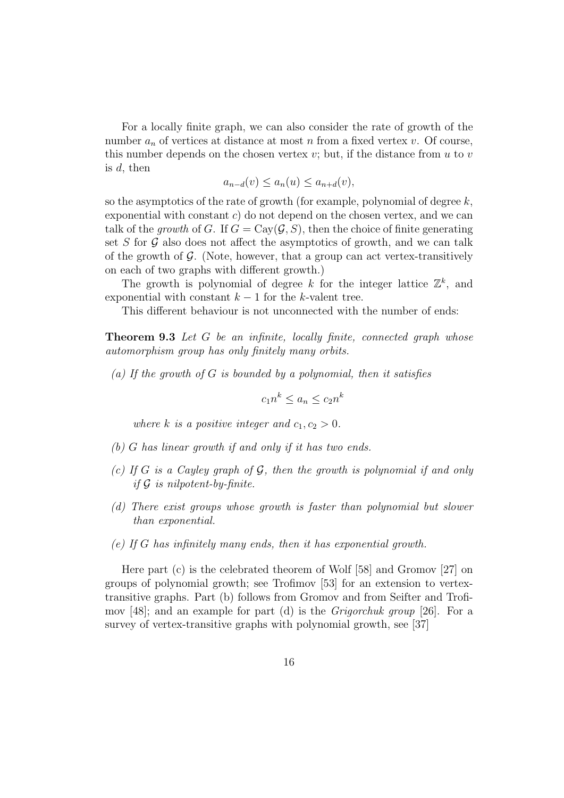For a locally finite graph, we can also consider the rate of growth of the number  $a_n$  of vertices at distance at most n from a fixed vertex v. Of course, this number depends on the chosen vertex  $v$ ; but, if the distance from  $u$  to  $v$ is  $d$ , then

$$
a_{n-d}(v) \le a_n(u) \le a_{n+d}(v),
$$

so the asymptotics of the rate of growth (for example, polynomial of degree  $k$ , exponential with constant  $c$ ) do not depend on the chosen vertex, and we can talk of the growth of G. If  $G = Cay(\mathcal{G}, S)$ , then the choice of finite generating set  $S$  for  $G$  also does not affect the asymptotics of growth, and we can talk of the growth of  $G$ . (Note, however, that a group can act vertex-transitively on each of two graphs with different growth.)

The growth is polynomial of degree k for the integer lattice  $\mathbb{Z}^k$ , and exponential with constant  $k - 1$  for the k-valent tree.

This different behaviour is not unconnected with the number of ends:

**Theorem 9.3** Let G be an infinite, locally finite, connected graph whose automorphism group has only finitely many orbits.

(a) If the growth of  $G$  is bounded by a polynomial, then it satisfies

$$
c_1 n^k \le a_n \le c_2 n^k
$$

where k is a positive integer and  $c_1, c_2 > 0$ .

- (b) G has linear growth if and only if it has two ends.
- (c) If G is a Cayley graph of  $G$ , then the growth is polynomial if and only if  $\mathcal G$  is nilpotent-by-finite.
- (d) There exist groups whose growth is faster than polynomial but slower than exponential.
- (e) If G has infinitely many ends, then it has exponential growth.

Here part (c) is the celebrated theorem of Wolf [58] and Gromov [27] on groups of polynomial growth; see Trofimov [53] for an extension to vertextransitive graphs. Part (b) follows from Gromov and from Seifter and Trofimov [48]; and an example for part (d) is the *Grigorchuk group* [26]. For a survey of vertex-transitive graphs with polynomial growth, see [37]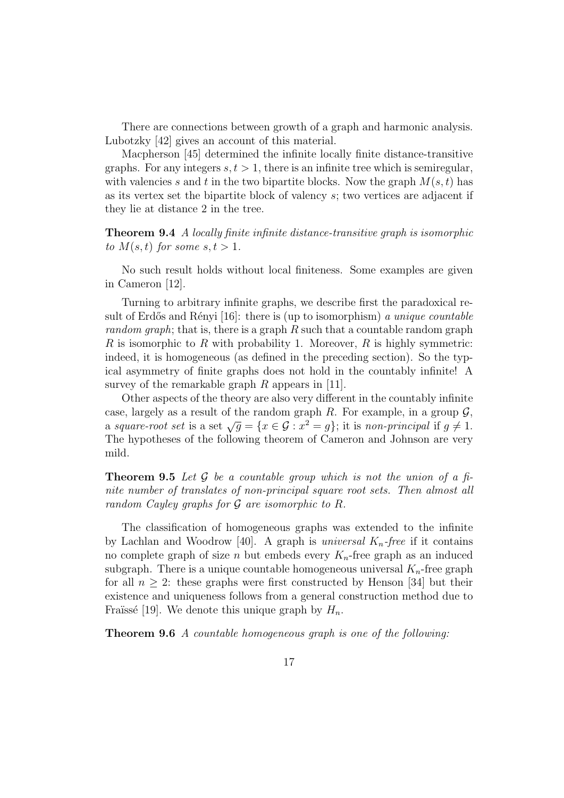There are connections between growth of a graph and harmonic analysis. Lubotzky [42] gives an account of this material.

Macpherson [45] determined the infinite locally finite distance-transitive graphs. For any integers  $s, t > 1$ , there is an infinite tree which is semiregular, with valencies s and t in the two bipartite blocks. Now the graph  $M(s, t)$  has as its vertex set the bipartite block of valency s; two vertices are adjacent if they lie at distance 2 in the tree.

#### Theorem 9.4 A locally finite infinite distance-transitive graph is isomorphic to  $M(s,t)$  for some  $s,t>1$ .

No such result holds without local finiteness. Some examples are given in Cameron [12].

Turning to arbitrary infinite graphs, we describe first the paradoxical result of Erdős and Rényi [16]: there is (up to isomorphism) a unique countable random graph; that is, there is a graph  $R$  such that a countable random graph R is isomorphic to R with probability 1. Moreover, R is highly symmetric: indeed, it is homogeneous (as defined in the preceding section). So the typical asymmetry of finite graphs does not hold in the countably infinite! A survey of the remarkable graph  $R$  appears in [11].

Other aspects of the theory are also very different in the countably infinite case, largely as a result of the random graph R. For example, in a group  $\mathcal{G}$ , case, largely as a result of the random graph R. For example, in a group  $\mathcal{G}$ ,<br>a square-root set is a set  $\sqrt{g} = \{x \in \mathcal{G} : x^2 = g\}$ ; it is non-principal if  $g \neq 1$ . The hypotheses of the following theorem of Cameron and Johnson are very mild.

**Theorem 9.5** Let  $\mathcal G$  be a countable group which is not the union of a finite number of translates of non-principal square root sets. Then almost all random Cayley graphs for  $G$  are isomorphic to  $R$ .

The classification of homogeneous graphs was extended to the infinite by Lachlan and Woodrow [40]. A graph is *universal*  $K_n$ -free if it contains no complete graph of size *n* but embeds every  $K_n$ -free graph as an induced subgraph. There is a unique countable homogeneous universal  $K_n$ -free graph for all  $n \geq 2$ : these graphs were first constructed by Henson [34] but their existence and uniqueness follows from a general construction method due to Fraüssé [19]. We denote this unique graph by  $H_n$ .

Theorem 9.6 A countable homogeneous graph is one of the following: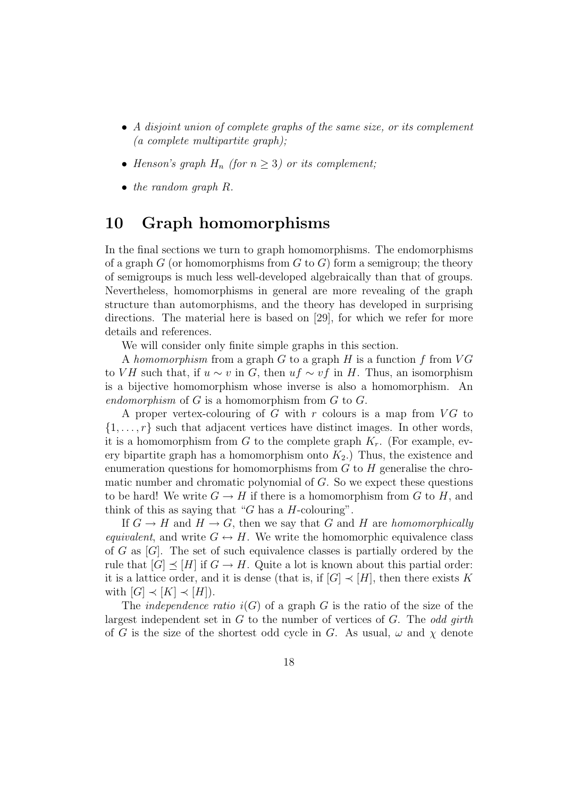- A disjoint union of complete graphs of the same size, or its complement (a complete multipartite graph);
- Henson's graph  $H_n$  (for  $n \geq 3$ ) or its complement;
- the random graph R.

### 10 Graph homomorphisms

In the final sections we turn to graph homomorphisms. The endomorphisms of a graph  $G$  (or homomorphisms from  $G$  to  $G$ ) form a semigroup; the theory of semigroups is much less well-developed algebraically than that of groups. Nevertheless, homomorphisms in general are more revealing of the graph structure than automorphisms, and the theory has developed in surprising directions. The material here is based on [29], for which we refer for more details and references.

We will consider only finite simple graphs in this section.

A homomorphism from a graph  $G$  to a graph  $H$  is a function  $f$  from  $VG$ to VH such that, if  $u \sim v$  in G, then  $uf \sim vf$  in H. Thus, an isomorphism is a bijective homomorphism whose inverse is also a homomorphism. An endomorphism of  $G$  is a homomorphism from  $G$  to  $G$ .

A proper vertex-colouring of  $G$  with  $r$  colours is a map from  $VG$  to  $\{1, \ldots, r\}$  such that adjacent vertices have distinct images. In other words, it is a homomorphism from G to the complete graph  $K_r$ . (For example, every bipartite graph has a homomorphism onto  $K_2$ .) Thus, the existence and enumeration questions for homomorphisms from  $G$  to  $H$  generalise the chromatic number and chromatic polynomial of G. So we expect these questions to be hard! We write  $G \to H$  if there is a homomorphism from G to H, and think of this as saying that "G has a  $H$ -colouring".

If  $G \to H$  and  $H \to G$ , then we say that G and H are homomorphically equivalent, and write  $G \leftrightarrow H$ . We write the homomorphic equivalence class of  $G$  as  $[G]$ . The set of such equivalence classes is partially ordered by the rule that  $[G] \preceq [H]$  if  $G \to H$ . Quite a lot is known about this partial order: it is a lattice order, and it is dense (that is, if  $[G] \prec [H]$ , then there exists K with  $[G] \prec [K] \prec [H]$ ).

The *independence ratio*  $i(G)$  of a graph G is the ratio of the size of the largest independent set in  $G$  to the number of vertices of  $G$ . The *odd girth* of G is the size of the shortest odd cycle in G. As usual,  $\omega$  and  $\chi$  denote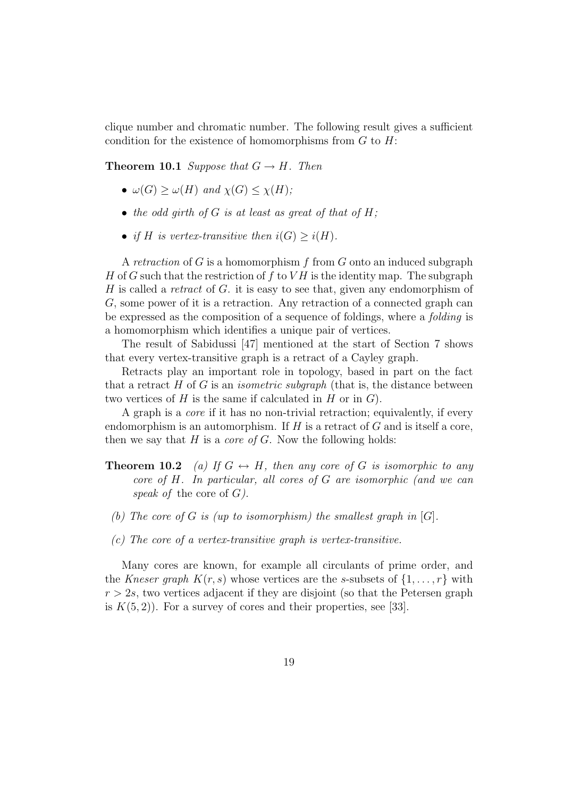clique number and chromatic number. The following result gives a sufficient condition for the existence of homomorphisms from  $G$  to  $H$ :

**Theorem 10.1** Suppose that  $G \rightarrow H$ . Then

- $\omega(G) > \omega(H)$  and  $\chi(G) < \chi(H)$ ;
- the odd girth of  $G$  is at least as great of that of  $H$ ;
- if H is vertex-transitive then  $i(G) \geq i(H)$ .

A retraction of  $G$  is a homomorphism f from  $G$  onto an induced subgraph H of G such that the restriction of f to  $VH$  is the identity map. The subgraph H is called a retract of G. it is easy to see that, given any endomorphism of G, some power of it is a retraction. Any retraction of a connected graph can be expressed as the composition of a sequence of foldings, where a folding is a homomorphism which identifies a unique pair of vertices.

The result of Sabidussi [47] mentioned at the start of Section 7 shows that every vertex-transitive graph is a retract of a Cayley graph.

Retracts play an important role in topology, based in part on the fact that a retract  $H$  of  $G$  is an *isometric subgraph* (that is, the distance between two vertices of  $H$  is the same if calculated in  $H$  or in  $G$ ).

A graph is a core if it has no non-trivial retraction; equivalently, if every endomorphism is an automorphism. If  $H$  is a retract of  $G$  and is itself a core, then we say that  $H$  is a *core of G*. Now the following holds:

- **Theorem 10.2** (a) If  $G \leftrightarrow H$ , then any core of G is isomorphic to any core of H. In particular, all cores of G are isomorphic (and we can speak of the core of  $G$ ).
- (b) The core of G is (up to isomorphism) the smallest graph in  $[G]$ .
- (c) The core of a vertex-transitive graph is vertex-transitive.

Many cores are known, for example all circulants of prime order, and the Kneser graph  $K(r, s)$  whose vertices are the s-subsets of  $\{1, \ldots, r\}$  with  $r > 2s$ , two vertices adjacent if they are disjoint (so that the Petersen graph is  $K(5, 2)$ ). For a survey of cores and their properties, see [33].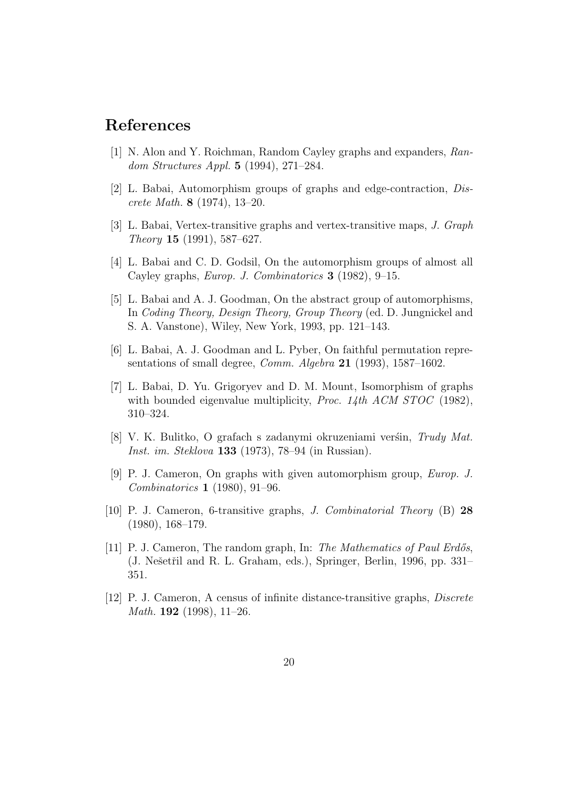### References

- [1] N. Alon and Y. Roichman, Random Cayley graphs and expanders, Random Structures Appl. 5 (1994), 271–284.
- [2] L. Babai, Automorphism groups of graphs and edge-contraction, Discrete Math. 8 (1974), 13–20.
- [3] L. Babai, Vertex-transitive graphs and vertex-transitive maps, J. Graph Theory 15 (1991), 587–627.
- [4] L. Babai and C. D. Godsil, On the automorphism groups of almost all Cayley graphs, Europ. J. Combinatorics 3 (1982), 9–15.
- [5] L. Babai and A. J. Goodman, On the abstract group of automorphisms, In Coding Theory, Design Theory, Group Theory (ed. D. Jungnickel and S. A. Vanstone), Wiley, New York, 1993, pp. 121–143.
- [6] L. Babai, A. J. Goodman and L. Pyber, On faithful permutation representations of small degree, *Comm. Algebra* 21 (1993), 1587–1602.
- [7] L. Babai, D. Yu. Grigoryev and D. M. Mount, Isomorphism of graphs with bounded eigenvalue multiplicity, *Proc.* 14th  $ACM$   $STOC$  (1982), 310–324.
- [8] V. K. Bulitko, O grafach s zadanymi okruzeniami verśin, Trudy Mat. Inst. im. Steklova 133 (1973), 78–94 (in Russian).
- [9] P. J. Cameron, On graphs with given automorphism group, Europ. J. Combinatorics 1 (1980), 91–96.
- [10] P. J. Cameron, 6-transitive graphs, J. Combinatorial Theory (B) 28 (1980), 168–179.
- [11] P. J. Cameron, The random graph, In: The Mathematics of Paul Erdős, (J. Nešetřil and R. L. Graham, eds.), Springer, Berlin, 1996, pp. 331– 351.
- [12] P. J. Cameron, A census of infinite distance-transitive graphs, Discrete *Math.* **192** (1998), 11–26.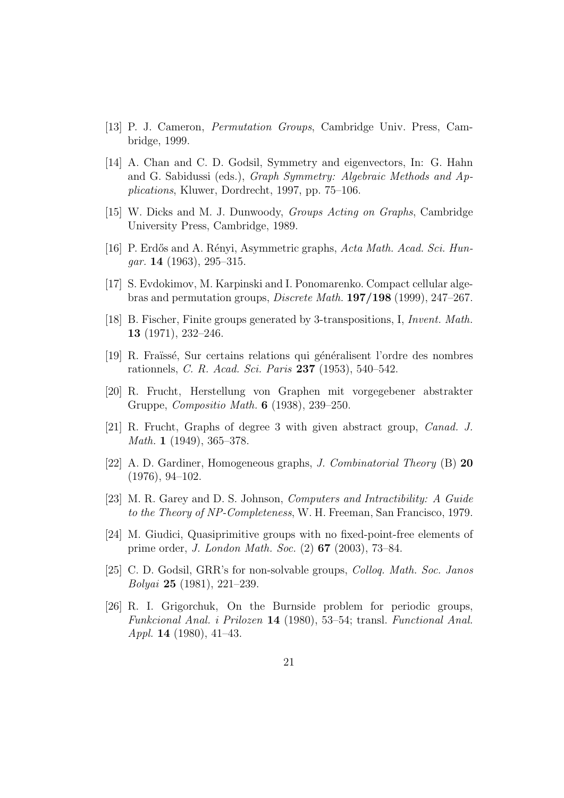- [13] P. J. Cameron, Permutation Groups, Cambridge Univ. Press, Cambridge, 1999.
- [14] A. Chan and C. D. Godsil, Symmetry and eigenvectors, In: G. Hahn and G. Sabidussi (eds.), Graph Symmetry: Algebraic Methods and Applications, Kluwer, Dordrecht, 1997, pp. 75–106.
- [15] W. Dicks and M. J. Dunwoody, Groups Acting on Graphs, Cambridge University Press, Cambridge, 1989.
- [16] P. Erdős and A. Rényi, Asymmetric graphs, Acta Math. Acad. Sci. Hun $gar.$  14 (1963), 295–315.
- [17] S. Evdokimov, M. Karpinski and I. Ponomarenko. Compact cellular algebras and permutation groups, Discrete Math. 197/198 (1999), 247–267.
- [18] B. Fischer, Finite groups generated by 3-transpositions, I, Invent. Math. 13 (1971), 232–246.
- [19] R. Fraïssé, Sur certains relations qui généralisent l'ordre des nombres rationnels, C. R. Acad. Sci. Paris 237 (1953), 540–542.
- [20] R. Frucht, Herstellung von Graphen mit vorgegebener abstrakter Gruppe, Compositio Math. 6 (1938), 239–250.
- [21] R. Frucht, Graphs of degree 3 with given abstract group, Canad. J. Math. 1 (1949), 365–378.
- [22] A. D. Gardiner, Homogeneous graphs, J. Combinatorial Theory (B) 20 (1976), 94–102.
- [23] M. R. Garey and D. S. Johnson, Computers and Intractibility: A Guide to the Theory of NP-Completeness, W. H. Freeman, San Francisco, 1979.
- [24] M. Giudici, Quasiprimitive groups with no fixed-point-free elements of prime order, J. London Math. Soc. (2) 67 (2003), 73–84.
- [25] C. D. Godsil, GRR's for non-solvable groups, Colloq. Math. Soc. Janos Bolyai 25 (1981), 221–239.
- [26] R. I. Grigorchuk, On the Burnside problem for periodic groups, Funkcional Anal. i Prilozen 14 (1980), 53–54; transl. Functional Anal. Appl. 14 (1980), 41–43.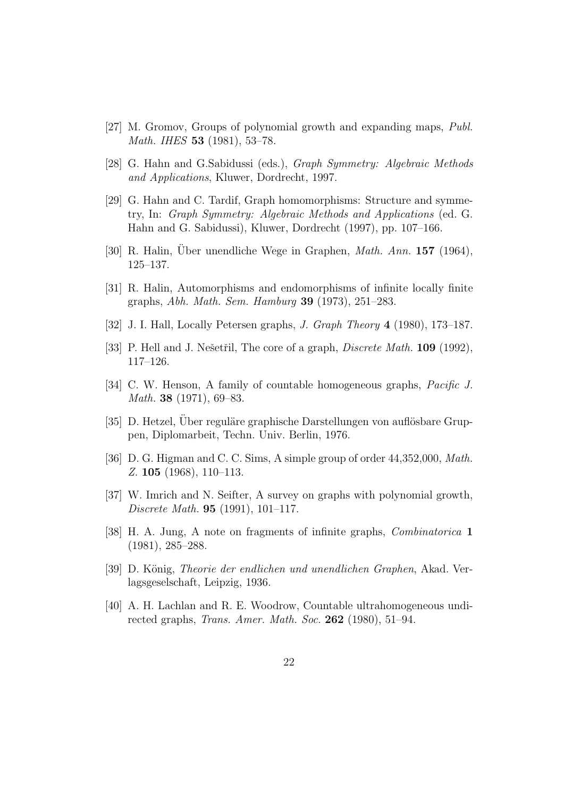- [27] M. Gromov, Groups of polynomial growth and expanding maps, Publ. Math. IHES 53 (1981), 53–78.
- [28] G. Hahn and G.Sabidussi (eds.), Graph Symmetry: Algebraic Methods and Applications, Kluwer, Dordrecht, 1997.
- [29] G. Hahn and C. Tardif, Graph homomorphisms: Structure and symmetry, In: Graph Symmetry: Algebraic Methods and Applications (ed. G. Hahn and G. Sabidussi), Kluwer, Dordrecht (1997), pp. 107–166.
- [30] R. Halin, Uber unendliche Wege in Graphen, *Math. Ann.* **157** (1964), 125–137.
- [31] R. Halin, Automorphisms and endomorphisms of infinite locally finite graphs, Abh. Math. Sem. Hamburg 39 (1973), 251–283.
- [32] J. I. Hall, Locally Petersen graphs, J. Graph Theory 4 (1980), 173–187.
- [33] P. Hell and J. Nešetřil, The core of a graph, *Discrete Math.* **109** (1992), 117–126.
- [34] C. W. Henson, A family of countable homogeneous graphs, *Pacific J.* Math. 38 (1971), 69–83.
- $[35]$  D. Hetzel, Über reguläre graphische Darstellungen von auflösbare Gruppen, Diplomarbeit, Techn. Univ. Berlin, 1976.
- [36] D. G. Higman and C. C. Sims, A simple group of order 44,352,000, Math. Z. 105 (1968), 110–113.
- [37] W. Imrich and N. Seifter, A survey on graphs with polynomial growth, Discrete Math. 95 (1991), 101–117.
- [38] H. A. Jung, A note on fragments of infinite graphs, Combinatorica 1 (1981), 285–288.
- [39] D. König, *Theorie der endlichen und unendlichen Graphen*, Akad. Verlagsgeselschaft, Leipzig, 1936.
- [40] A. H. Lachlan and R. E. Woodrow, Countable ultrahomogeneous undirected graphs, Trans. Amer. Math. Soc. 262 (1980), 51–94.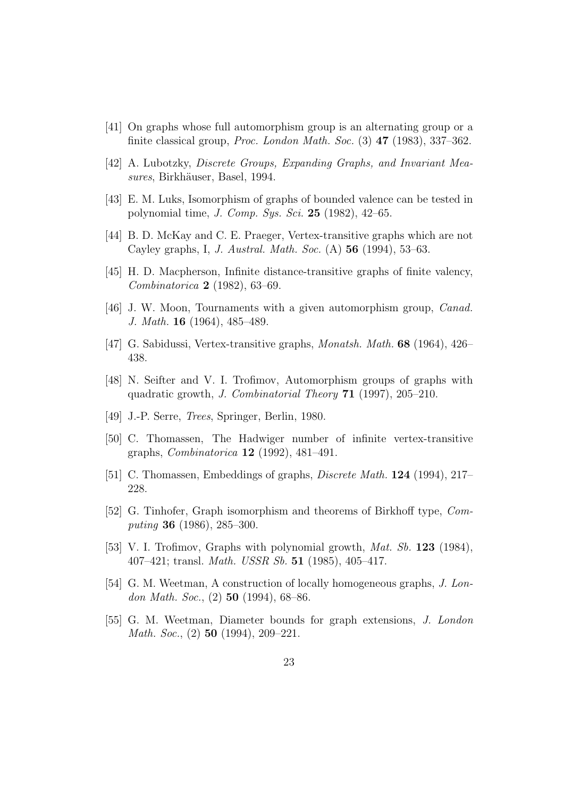- [41] On graphs whose full automorphism group is an alternating group or a finite classical group, *Proc. London Math. Soc.*  $(3)$  **47**  $(1983)$ , 337–362.
- [42] A. Lubotzky, Discrete Groups, Expanding Graphs, and Invariant Measures, Birkhäuser, Basel, 1994.
- [43] E. M. Luks, Isomorphism of graphs of bounded valence can be tested in polynomial time, *J. Comp. Sys. Sci.* 25 (1982),  $42-65$ .
- [44] B. D. McKay and C. E. Praeger, Vertex-transitive graphs which are not Cayley graphs, I, J. Austral. Math. Soc. (A) 56 (1994), 53–63.
- [45] H. D. Macpherson, Infinite distance-transitive graphs of finite valency, Combinatorica 2 (1982), 63–69.
- [46] J. W. Moon, Tournaments with a given automorphism group, *Canad.* J. Math. 16 (1964), 485–489.
- [47] G. Sabidussi, Vertex-transitive graphs, Monatsh. Math. 68 (1964), 426– 438.
- [48] N. Seifter and V. I. Trofimov, Automorphism groups of graphs with quadratic growth, J. Combinatorial Theory 71 (1997), 205–210.
- [49] J.-P. Serre, Trees, Springer, Berlin, 1980.
- [50] C. Thomassen, The Hadwiger number of infinite vertex-transitive graphs, Combinatorica 12 (1992), 481–491.
- [51] C. Thomassen, Embeddings of graphs, Discrete Math. 124 (1994), 217– 228.
- [52] G. Tinhofer, Graph isomorphism and theorems of Birkhoff type, Computing 36 (1986), 285–300.
- [53] V. I. Trofimov, Graphs with polynomial growth, *Mat. Sb.* **123** (1984), 407–421; transl. *Math. USSR Sb.* 51 (1985), 405–417.
- [54] G. M. Weetman, A construction of locally homogeneous graphs, J. London Math. Soc.,  $(2)$  50  $(1994)$ , 68-86.
- [55] G. M. Weetman, Diameter bounds for graph extensions, J. London Math. Soc., (2) **50** (1994), 209–221.